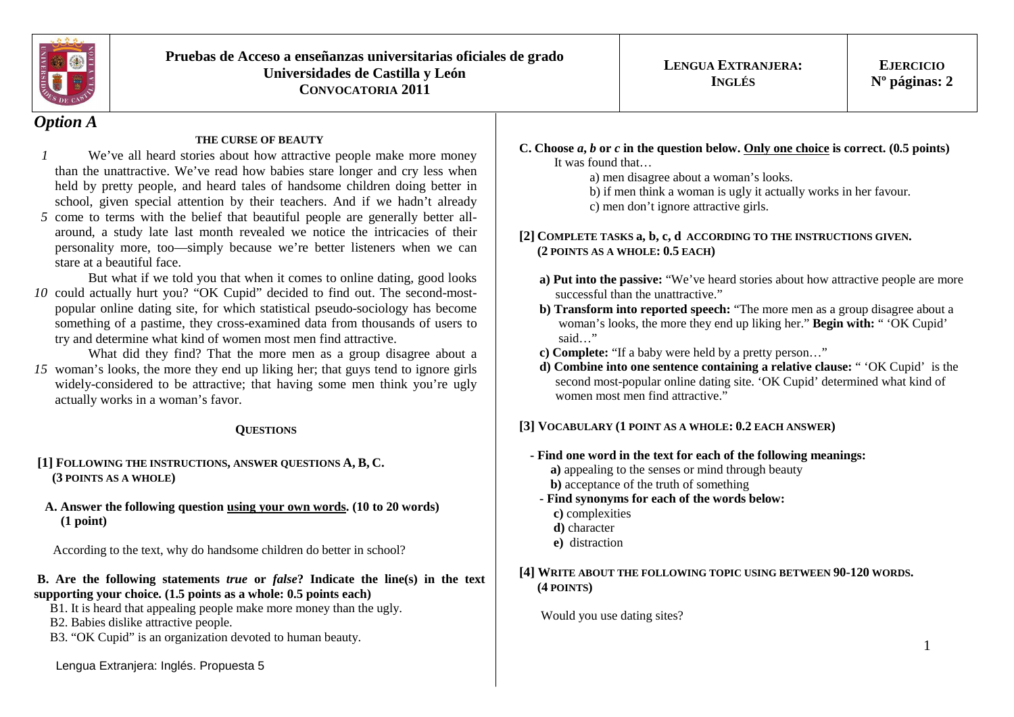

# *Option A*

#### **THE CURSE OF BEAUTY**

- We've all heard stories about how attractive people make more money *1* than the unattractive. We've read how babies stare longer and cry less when held by pretty people, and heard tales of handsome children doing better in school, given special attention by their teachers. And if we hadn't already
- *5* come to terms with the belief that beautiful people are generally better allaround, a study late last month revealed we notice the intricacies of their personality more, too—simply because we're better listeners when we can stare at a beautiful face.

10 could actually hurt you? "OK Cupid" decided to find out. The second-most- But what if we told you that when it comes to online dating, good looks popular online dating site, for which statistical pseudo-sociology has become something of a pastime, they cross-examined data from thousands of users to try and determine what kind of women most men find attractive.

*15* woman's looks, the more they end up liking her; that guys tend to ignore girls What did they find? That the more men as a group disagree about a widely-considered to be attractive; that having some men think you're ugly

## **QUESTIONS**

#### **[1] <sup>F</sup>OLLOWING THE INSTRUCTIONS, ANSWER QUESTIONS A, B, C. (3 POINTS AS A WHOLE)**

**A. Answer the following question using your own words. (10 to 20 words) (1 point)** 

According to the text, why do handsome children do better in school?

## **B. Are the following statements** *true* **or** *false***? Indicate the line(s) in the text supporting your choice. (1.5 points as a whole: 0.5 points each)**

B1. It is heard that appealing people make more money than the ugly.

B2. Babies dislike attractive people.

actually works in a woman's favor.

B3. "OK Cupid" is an organization devoted to human beauty.

Lengua Extranjera: Inglés. Propuesta 5

**C. Choose** *<sup>a</sup>***,** *b* **or** *c* **in the question below. Only one choice is correct. (0.5 points)** It was found that…

- a) men disagree about a woman's looks.
- b) if men think a woman is ugly it actually works in her favour.
- c) men don't ignore attractive girls.

## **[2] <sup>C</sup>OMPLETE TASKS a, b, c, d ACCORDING TO THE INSTRUCTIONS GIVEN. (2 POINTS AS A WHOLE: 0.5 EACH)**

- **a) Put into the passive:** "We've heard stories about how attractive people are more successful than the unattractive."
- **b) Transform into reported speech:** "The more men as a group disagree about a woman's looks, the more they end up liking her." **Begin with:** " 'OK Cupid' said…"
- **c) Complete:** "If a baby were held by a pretty person…"
- **d) Combine into one sentence containing a relative clause:** " 'OK Cupid' is the second most-popular online dating site. 'OK Cupid' determined what kind of women most men find attractive."

# **[3] VOCABULARY (1 POINT AS A WHOLE: 0.2 EACH ANSWER)**

- **Find one word in the text for each of the following meanings:**
	- **a)** appealing to the senses or mind through beauty
	- **b)** acceptance of the truth of something
- **Find synonyms for each of the words below:**
	- **c)** complexities
	- **d)** character
	- **e)** distraction

# **[4] WRITE ABOUT THE FOLLOWING TOPIC USING BETWEEN 90-120 WORDS.(4 POINTS)**

Would you use dating sites?